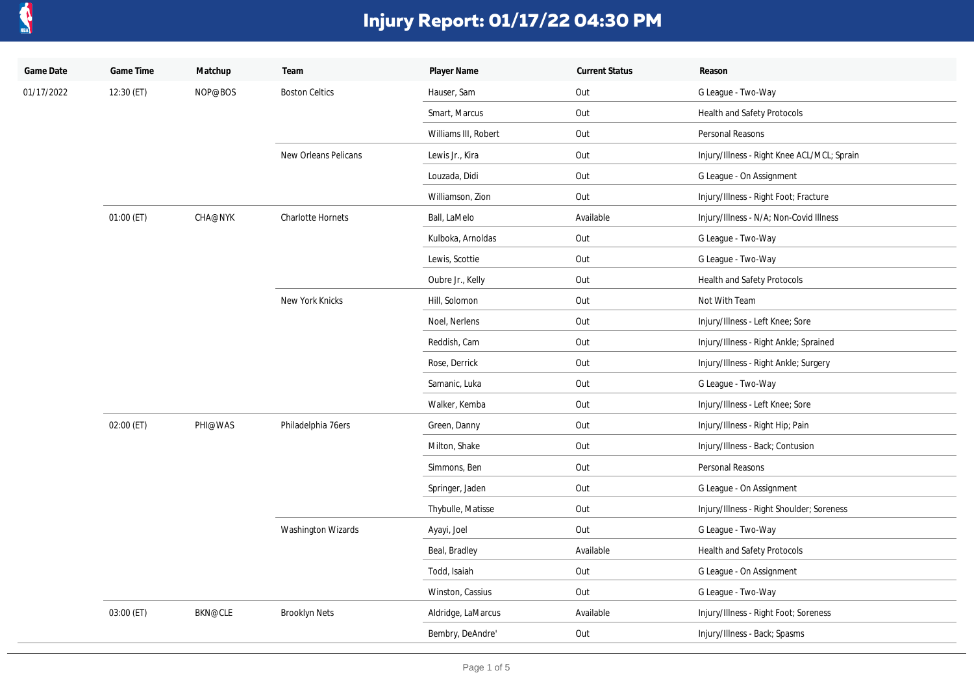

| Game Date  | Game Time  | Matchup        | Team                  | Player Name          | <b>Current Status</b> | Reason                                      |
|------------|------------|----------------|-----------------------|----------------------|-----------------------|---------------------------------------------|
| 01/17/2022 | 12:30 (ET) | NOP@BOS        | <b>Boston Celtics</b> | Hauser, Sam          | Out                   | G League - Two-Way                          |
|            |            |                |                       | Smart, Marcus        | Out                   | Health and Safety Protocols                 |
|            |            |                |                       | Williams III, Robert | Out                   | Personal Reasons                            |
|            |            |                | New Orleans Pelicans  | Lewis Jr., Kira      | Out                   | Injury/Illness - Right Knee ACL/MCL; Sprain |
|            |            |                |                       | Louzada, Didi        | Out                   | G League - On Assignment                    |
|            |            |                |                       | Williamson, Zion     | Out                   | Injury/Illness - Right Foot; Fracture       |
|            | 01:00 (ET) | CHA@NYK        | Charlotte Hornets     | Ball, LaMelo         | Available             | Injury/Illness - N/A; Non-Covid Illness     |
|            |            |                |                       | Kulboka, Arnoldas    | Out                   | G League - Two-Way                          |
|            |            |                |                       | Lewis, Scottie       | Out                   | G League - Two-Way                          |
|            |            |                |                       | Oubre Jr., Kelly     | Out                   | Health and Safety Protocols                 |
|            |            |                | New York Knicks       | Hill, Solomon        | Out                   | Not With Team                               |
|            |            |                |                       | Noel, Nerlens        | Out                   | Injury/Illness - Left Knee; Sore            |
|            |            |                |                       | Reddish, Cam         | Out                   | Injury/Illness - Right Ankle; Sprained      |
|            |            |                |                       | Rose, Derrick        | Out                   | Injury/Illness - Right Ankle; Surgery       |
|            |            |                |                       | Samanic, Luka        | Out                   | G League - Two-Way                          |
|            |            |                |                       | Walker, Kemba        | Out                   | Injury/Illness - Left Knee; Sore            |
|            | 02:00 (ET) | PHI@WAS        | Philadelphia 76ers    | Green, Danny         | Out                   | Injury/Illness - Right Hip; Pain            |
|            |            |                |                       | Milton, Shake        | Out                   | Injury/Illness - Back; Contusion            |
|            |            |                |                       | Simmons, Ben         | Out                   | Personal Reasons                            |
|            |            |                |                       | Springer, Jaden      | Out                   | G League - On Assignment                    |
|            |            |                |                       | Thybulle, Matisse    | Out                   | Injury/Illness - Right Shoulder; Soreness   |
|            |            |                | Washington Wizards    | Ayayi, Joel          | Out                   | G League - Two-Way                          |
|            |            |                |                       | Beal, Bradley        | Available             | Health and Safety Protocols                 |
|            |            |                |                       | Todd, Isaiah         | Out                   | G League - On Assignment                    |
|            |            |                |                       | Winston, Cassius     | Out                   | G League - Two-Way                          |
|            | 03:00 (ET) | <b>BKN@CLE</b> | <b>Brooklyn Nets</b>  | Aldridge, LaMarcus   | Available             | Injury/Illness - Right Foot; Soreness       |
|            |            |                |                       | Bembry, DeAndre'     | Out                   | Injury/Illness - Back; Spasms               |
|            |            |                |                       |                      |                       |                                             |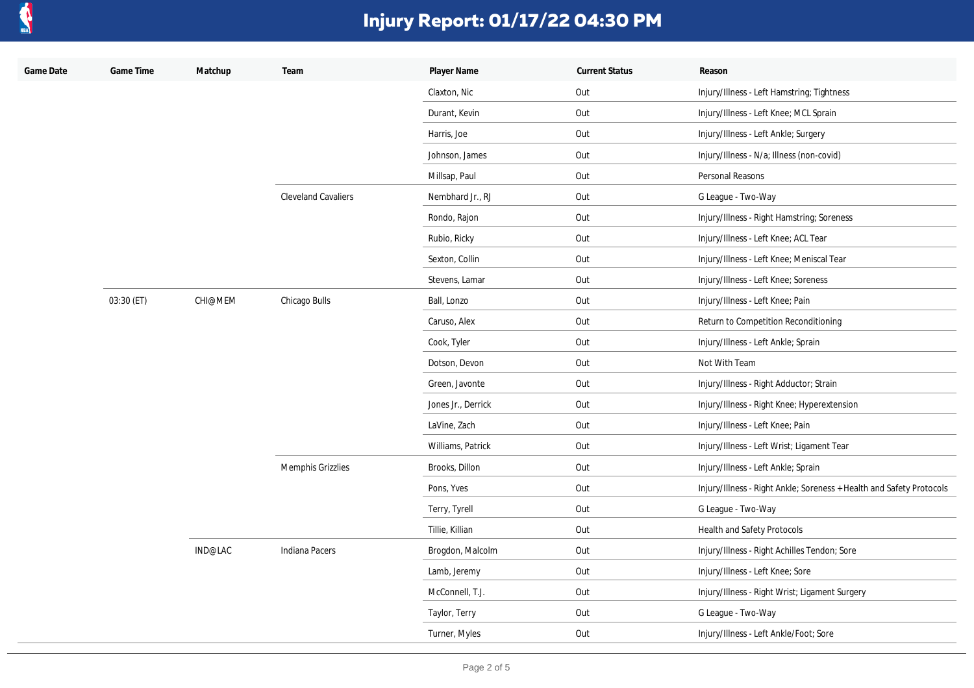

| Game Date | Game Time  | Matchup | Team                       | Player Name        | <b>Current Status</b> | Reason                                                               |
|-----------|------------|---------|----------------------------|--------------------|-----------------------|----------------------------------------------------------------------|
|           |            |         |                            | Claxton, Nic       | Out                   | Injury/Illness - Left Hamstring; Tightness                           |
|           |            |         |                            | Durant, Kevin      | Out                   | Injury/Illness - Left Knee; MCL Sprain                               |
|           |            |         |                            | Harris, Joe        | Out                   | Injury/Illness - Left Ankle; Surgery                                 |
|           |            |         |                            | Johnson, James     | Out                   | Injury/Illness - N/a; Illness (non-covid)                            |
|           |            |         |                            | Millsap, Paul      | Out                   | Personal Reasons                                                     |
|           |            |         | <b>Cleveland Cavaliers</b> | Nembhard Jr., RJ   | Out                   | G League - Two-Way                                                   |
|           |            |         |                            | Rondo, Rajon       | Out                   | Injury/Illness - Right Hamstring; Soreness                           |
|           |            |         |                            | Rubio, Ricky       | Out                   | Injury/Illness - Left Knee; ACL Tear                                 |
|           |            |         |                            | Sexton, Collin     | Out                   | Injury/Illness - Left Knee; Meniscal Tear                            |
|           |            |         |                            | Stevens, Lamar     | Out                   | Injury/Illness - Left Knee; Soreness                                 |
|           | 03:30 (ET) | CHI@MEM | Chicago Bulls              | Ball, Lonzo        | Out                   | Injury/Illness - Left Knee; Pain                                     |
|           |            |         |                            | Caruso, Alex       | Out                   | Return to Competition Reconditioning                                 |
|           |            |         |                            | Cook, Tyler        | Out                   | Injury/Illness - Left Ankle; Sprain                                  |
|           |            |         |                            | Dotson, Devon      | Out                   | Not With Team                                                        |
|           |            |         |                            | Green, Javonte     | Out                   | Injury/Illness - Right Adductor; Strain                              |
|           |            |         |                            | Jones Jr., Derrick | Out                   | Injury/Illness - Right Knee; Hyperextension                          |
|           |            |         |                            | LaVine, Zach       | Out                   | Injury/Illness - Left Knee; Pain                                     |
|           |            |         |                            | Williams, Patrick  | Out                   | Injury/Illness - Left Wrist; Ligament Tear                           |
|           |            |         | Memphis Grizzlies          | Brooks, Dillon     | Out                   | Injury/Illness - Left Ankle; Sprain                                  |
|           |            |         |                            | Pons, Yves         | Out                   | Injury/Illness - Right Ankle; Soreness + Health and Safety Protocols |
|           |            |         |                            | Terry, Tyrell      | Out                   | G League - Two-Way                                                   |
|           |            |         |                            | Tillie, Killian    | Out                   | Health and Safety Protocols                                          |
|           |            | IND@LAC | Indiana Pacers             | Brogdon, Malcolm   | Out                   | Injury/Illness - Right Achilles Tendon; Sore                         |
|           |            |         |                            | Lamb, Jeremy       | Out                   | Injury/Illness - Left Knee; Sore                                     |
|           |            |         |                            | McConnell, T.J.    | Out                   | Injury/Illness - Right Wrist; Ligament Surgery                       |
|           |            |         |                            | Taylor, Terry      | Out                   | G League - Two-Way                                                   |
|           |            |         |                            | Turner, Myles      | Out                   | Injury/Illness - Left Ankle/Foot; Sore                               |
|           |            |         |                            |                    |                       |                                                                      |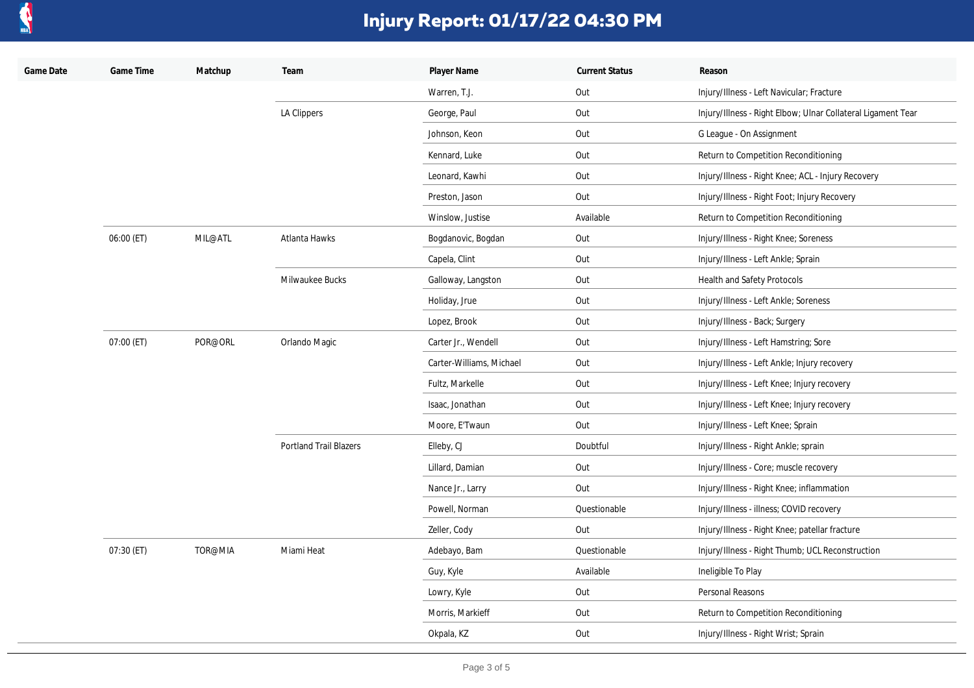

| Game Date | Game Time  | Matchup | Team                          | Player Name              | <b>Current Status</b> | Reason                                                       |
|-----------|------------|---------|-------------------------------|--------------------------|-----------------------|--------------------------------------------------------------|
|           |            |         |                               | Warren, T.J.             | Out                   | Injury/Illness - Left Navicular; Fracture                    |
|           |            |         | LA Clippers                   | George, Paul             | Out                   | Injury/Illness - Right Elbow; Ulnar Collateral Ligament Tear |
|           |            |         |                               | Johnson, Keon            | Out                   | G League - On Assignment                                     |
|           |            |         |                               | Kennard, Luke            | Out                   | Return to Competition Reconditioning                         |
|           |            |         |                               | Leonard, Kawhi           | Out                   | Injury/Illness - Right Knee; ACL - Injury Recovery           |
|           |            |         |                               | Preston, Jason           | Out                   | Injury/Illness - Right Foot; Injury Recovery                 |
|           |            |         |                               | Winslow, Justise         | Available             | Return to Competition Reconditioning                         |
|           | 06:00 (ET) | MIL@ATL | Atlanta Hawks                 | Bogdanovic, Bogdan       | Out                   | Injury/Illness - Right Knee; Soreness                        |
|           |            |         |                               | Capela, Clint            | Out                   | Injury/Illness - Left Ankle; Sprain                          |
|           |            |         | Milwaukee Bucks               | Galloway, Langston       | Out                   | Health and Safety Protocols                                  |
|           |            |         |                               | Holiday, Jrue            | Out                   | Injury/Illness - Left Ankle; Soreness                        |
|           |            |         |                               | Lopez, Brook             | Out                   | Injury/Illness - Back; Surgery                               |
|           | 07:00 (ET) | POR@ORL | Orlando Magic                 | Carter Jr., Wendell      | Out                   | Injury/Illness - Left Hamstring; Sore                        |
|           |            |         |                               | Carter-Williams, Michael | Out                   | Injury/Illness - Left Ankle; Injury recovery                 |
|           |            |         |                               | Fultz, Markelle          | Out                   | Injury/Illness - Left Knee; Injury recovery                  |
|           |            |         |                               | Isaac, Jonathan          | Out                   | Injury/Illness - Left Knee; Injury recovery                  |
|           |            |         |                               | Moore, E'Twaun           | Out                   | Injury/Illness - Left Knee; Sprain                           |
|           |            |         | <b>Portland Trail Blazers</b> | Elleby, CJ               | Doubtful              | Injury/Illness - Right Ankle; sprain                         |
|           |            |         |                               | Lillard, Damian          | Out                   | Injury/Illness - Core; muscle recovery                       |
|           |            |         |                               | Nance Jr., Larry         | Out                   | Injury/Illness - Right Knee; inflammation                    |
|           |            |         |                               | Powell, Norman           | Questionable          | Injury/Illness - illness; COVID recovery                     |
|           |            |         |                               | Zeller, Cody             | Out                   | Injury/Illness - Right Knee; patellar fracture               |
|           | 07:30 (ET) | TOR@MIA | Miami Heat                    | Adebayo, Bam             | Questionable          | Injury/Illness - Right Thumb; UCL Reconstruction             |
|           |            |         |                               | Guy, Kyle                | Available             | Ineligible To Play                                           |
|           |            |         |                               | Lowry, Kyle              | Out                   | Personal Reasons                                             |
|           |            |         |                               | Morris, Markieff         | Out                   | Return to Competition Reconditioning                         |
|           |            |         |                               | Okpala, KZ               | Out                   | Injury/Illness - Right Wrist; Sprain                         |
|           |            |         |                               |                          |                       |                                                              |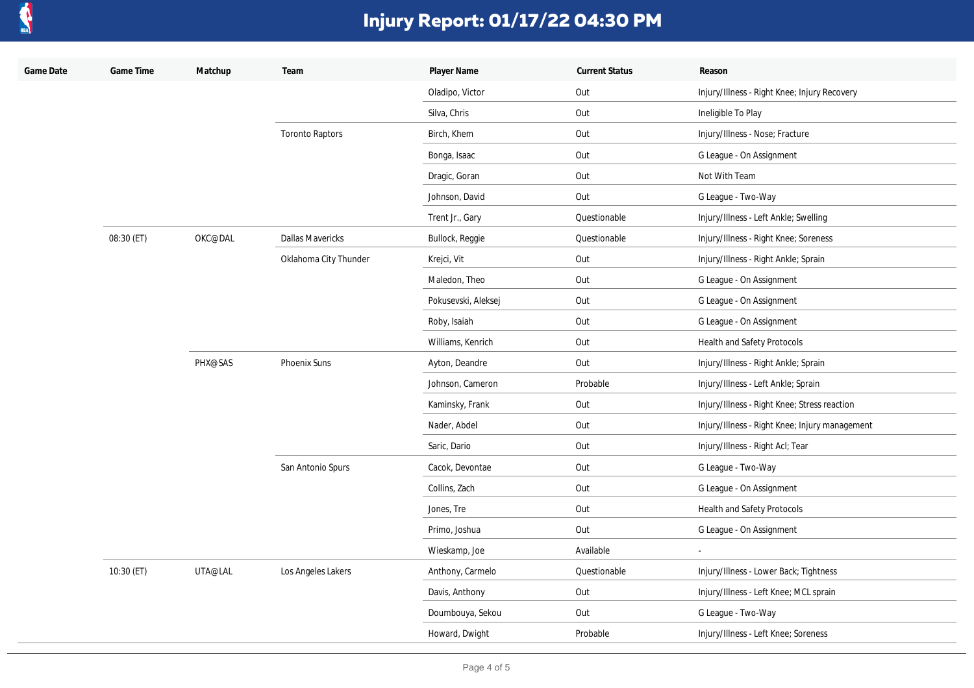

| Game Date | Game Time  | Matchup | Team                    | Player Name         | <b>Current Status</b> | Reason                                         |
|-----------|------------|---------|-------------------------|---------------------|-----------------------|------------------------------------------------|
|           |            |         |                         | Oladipo, Victor     | Out                   | Injury/Illness - Right Knee; Injury Recovery   |
|           |            |         |                         | Silva, Chris        | Out                   | Ineligible To Play                             |
|           |            |         | <b>Toronto Raptors</b>  | Birch, Khem         | Out                   | Injury/Illness - Nose; Fracture                |
|           |            |         |                         | Bonga, Isaac        | Out                   | G League - On Assignment                       |
|           |            |         |                         | Dragic, Goran       | Out                   | Not With Team                                  |
|           |            |         |                         | Johnson, David      | Out                   | G League - Two-Way                             |
|           |            |         |                         | Trent Jr., Gary     | Questionable          | Injury/Illness - Left Ankle; Swelling          |
|           | 08:30 (ET) | OKC@DAL | <b>Dallas Mavericks</b> | Bullock, Reggie     | Questionable          | Injury/Illness - Right Knee; Soreness          |
|           |            |         | Oklahoma City Thunder   | Krejci, Vit         | Out                   | Injury/Illness - Right Ankle; Sprain           |
|           |            |         |                         | Maledon, Theo       | Out                   | G League - On Assignment                       |
|           |            |         |                         | Pokusevski, Aleksej | Out                   | G League - On Assignment                       |
|           |            |         |                         | Roby, Isaiah        | Out                   | G League - On Assignment                       |
|           |            |         |                         | Williams, Kenrich   | Out                   | Health and Safety Protocols                    |
|           |            | PHX@SAS | Phoenix Suns            | Ayton, Deandre      | Out                   | Injury/Illness - Right Ankle; Sprain           |
|           |            |         |                         | Johnson, Cameron    | Probable              | Injury/Illness - Left Ankle; Sprain            |
|           |            |         |                         | Kaminsky, Frank     | Out                   | Injury/Illness - Right Knee; Stress reaction   |
|           |            |         |                         | Nader, Abdel        | Out                   | Injury/Illness - Right Knee; Injury management |
|           |            |         |                         | Saric, Dario        | Out                   | Injury/Illness - Right Acl; Tear               |
|           |            |         | San Antonio Spurs       | Cacok, Devontae     | Out                   | G League - Two-Way                             |
|           |            |         |                         | Collins, Zach       | Out                   | G League - On Assignment                       |
|           |            |         |                         | Jones, Tre          | Out                   | Health and Safety Protocols                    |
|           |            |         |                         | Primo, Joshua       | Out                   | G League - On Assignment                       |
|           |            |         |                         | Wieskamp, Joe       | Available             | $\blacksquare$                                 |
|           | 10:30 (ET) | UTA@LAL | Los Angeles Lakers      | Anthony, Carmelo    | Questionable          | Injury/Illness - Lower Back; Tightness         |
|           |            |         |                         | Davis, Anthony      | Out                   | Injury/Illness - Left Knee; MCL sprain         |
|           |            |         |                         | Doumbouya, Sekou    | Out                   | G League - Two-Way                             |
|           |            |         |                         | Howard, Dwight      | Probable              | Injury/Illness - Left Knee; Soreness           |
|           |            |         |                         |                     |                       |                                                |